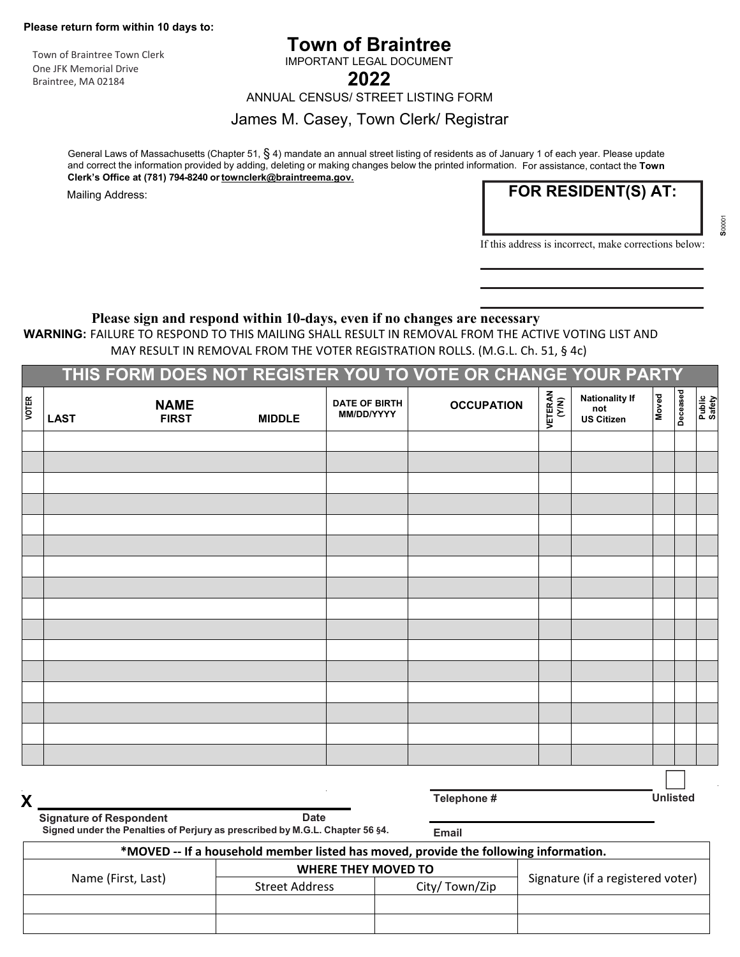**Please return form within 10 days to:** 

Town of Braintree Town Clerk One JFK Memorial Drive Braintree, MA 02184

# **Town of Braintree**

IMPORTANT LEGAL DOCUMENT

**2022** 

ANNUAL CENSUS/ STREET LISTING FORM

#### James M. Casey, Town Clerk/ Registrar

General Laws of Massachusetts (Chapter 51, § 4) mandate an annual street listing of residents as of January 1 of each year. Please update and correct the information provided by adding, deleting or making changes below the printed information. For assistance, contact the **Town Clerk's Office at (781) 794-8240 or townclerk@braintreema.gov.** 

Mailing Address:

**FOR RESIDENT(S) AT:**

 **S**00001 **S**00001

If this address is incorrect, make corrections below:

#### **Please sign and respond within 10-days, even if no changes are necessary**

**WARNING:** FAILURE TO RESPOND TO THIS MAILING SHALL RESULT IN REMOVAL FROM THE ACTIVE VOTING LIST AND MAY RESULT IN REMOVAL FROM THE VOTER REGISTRATION ROLLS. (M.G.L. Ch. 51, § 4c)

|              |             |                             |               |                                    | THIS FORM DOES NOT REGISTER YOU TO VOTE OR CHANGE YOUR PARTY |                  |                                                   |       |          |                  |
|--------------|-------------|-----------------------------|---------------|------------------------------------|--------------------------------------------------------------|------------------|---------------------------------------------------|-------|----------|------------------|
| <b>VOTER</b> | <b>LAST</b> | <b>NAME</b><br><b>FIRST</b> | <b>MIDDLE</b> | <b>DATE OF BIRTH</b><br>MM/DD/YYYY | <b>OCCUPATION</b>                                            | VETERAN<br>(Y/N) | <b>Nationality If</b><br>not<br><b>US Citizen</b> | Moved | Deceased | Public<br>Safety |
|              |             |                             |               |                                    |                                                              |                  |                                                   |       |          |                  |
|              |             |                             |               |                                    |                                                              |                  |                                                   |       |          |                  |
|              |             |                             |               |                                    |                                                              |                  |                                                   |       |          |                  |
|              |             |                             |               |                                    |                                                              |                  |                                                   |       |          |                  |
|              |             |                             |               |                                    |                                                              |                  |                                                   |       |          |                  |
|              |             |                             |               |                                    |                                                              |                  |                                                   |       |          |                  |
|              |             |                             |               |                                    |                                                              |                  |                                                   |       |          |                  |
|              |             |                             |               |                                    |                                                              |                  |                                                   |       |          |                  |
|              |             |                             |               |                                    |                                                              |                  |                                                   |       |          |                  |
|              |             |                             |               |                                    |                                                              |                  |                                                   |       |          |                  |
|              |             |                             |               |                                    |                                                              |                  |                                                   |       |          |                  |
|              |             |                             |               |                                    |                                                              |                  |                                                   |       |          |                  |
|              |             |                             |               |                                    |                                                              |                  |                                                   |       |          |                  |
|              |             |                             |               |                                    |                                                              |                  |                                                   |       |          |                  |
|              |             |                             |               |                                    |                                                              |                  |                                                   |       |          |                  |
|              |             |                             |               |                                    |                                                              |                  |                                                   |       |          |                  |
|              |             |                             |               |                                    |                                                              |                  |                                                   |       |          |                  |

**X Telephone # Unlisted**

**Signature of Respondent Communication Communication Communication Communication Communication Communication Communication Communication Communication Communication Communication Communication Communication Communication C Signed under the Penalties of Perjury as prescribed by M.G.L. Chapter 56 §4. Email**

| *MOVED -- If a household member listed has moved, provide the following information. |                            |               |                                   |  |  |  |  |  |  |  |  |
|--------------------------------------------------------------------------------------|----------------------------|---------------|-----------------------------------|--|--|--|--|--|--|--|--|
|                                                                                      | <b>WHERE THEY MOVED TO</b> |               |                                   |  |  |  |  |  |  |  |  |
| Name (First, Last)                                                                   | <b>Street Address</b>      | City/Town/Zip | Signature (if a registered voter) |  |  |  |  |  |  |  |  |
|                                                                                      |                            |               |                                   |  |  |  |  |  |  |  |  |
|                                                                                      |                            |               |                                   |  |  |  |  |  |  |  |  |